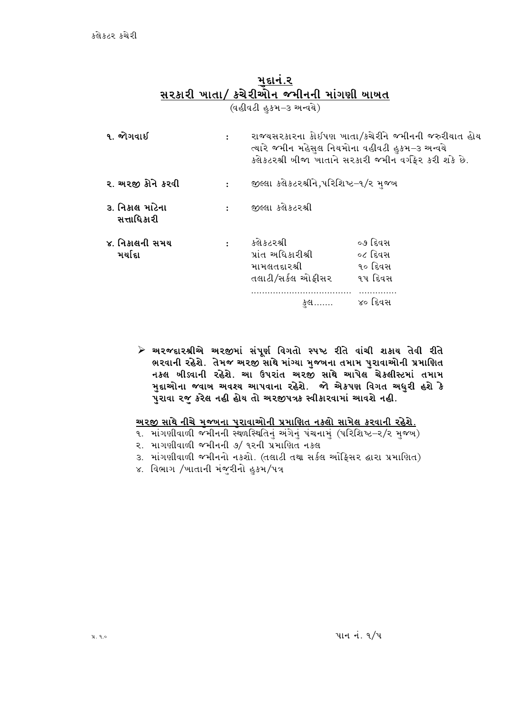### મદાનં.૨ <u>સરકારી ખાતા/ કચેરીઓન જમીનની માંગણી બાબત</u>

(વહીવટી હુકમ–૩ અન્વચે)

| ૧. જોગવાઈ                      | $\mathbf{r}$   | રાજ્યસરકારના કોઇપણ ખાતા/કચેરીને જમીનની જરુરીયાત હોય<br>ત્યારે જમીન મહેસુલ નિયમોના વહીવટી હુકમ–૩ અન્વચે<br>ક્લેકટરશ્રી બીજા ખાતાને સરકારી જમીન વર્ગફેર કરી શકે છે. |                                          |
|--------------------------------|----------------|-------------------------------------------------------------------------------------------------------------------------------------------------------------------|------------------------------------------|
| ૨. અરજી કોને કરવી              | $\ddot{\cdot}$ | જીલ્લા કલેકટરશ્રીને,પરિશિષ્ટ–૧/ર મુજબ                                                                                                                             |                                          |
| ૩. નિકાલ માટેના<br>સત્તાધિકારી | $\ddot{\cdot}$ | જીલ્લા કલેકટરશ્રી                                                                                                                                                 |                                          |
| ૪. નિકાલની સમય<br>મર્ચાદા      | $\ddot{\cdot}$ | કલેકટરશ્રી<br>પ્રાંત અધિકારીશ્રી<br>મામલતદારશ્રી<br>તલાટી/સર્કલ ઓફીસર                                                                                             | ૦૭ દિવસ<br>૦૮ દિવસ<br>૧૦ દિવસ<br>૧૫ દિવસ |
|                                |                | કુલ…….                                                                                                                                                            | ૪૦ દિવસ                                  |

≻ અરજદારશ્રીએ અરજીમાં સંપૂર્ણ વિગતો સ્પષ્ટ રીતે વાંચી શકાય તેવી રીતે ભરવાની રહેશે. તેમજ અરજી સાથે માંગ્યા મુજબના તમામ પુરાવાઓની પ્રમાણિત નક્લ બીડવાની રહેશે. આ ઉપરાંત અરજી સાથે આપેલ ચેકલીસ્ટમાં તમામ મુદ્દાઓના જવાબ અવશ્ય આપવાના રહેશે. જો એકપણ વિગત અધુરી હશે કે પુરાવા રજુ કરેલ નહી હોય તો અરજીપત્રક સ્વીકારવામાં આવશે નહી.

<u>અરજી સાથે નીચે મજબના પરાવાઓની પ્રમાણિત નકલો સામેલ કરવાની રહેશે.</u>

- ૧. માંગણીવાળી જમીનની સ્થળસ્થિતિનું અંગેનું પંચનામું (પરિશિષ્ટ–૨/૨ મુજબ)
- २. भागशीवाणी कभीननी ७/ १२नी प्रभाषित नडस
- 3. માંગણીવાળી જમીનનો નકશો. (તલાટી તથા સર્કલ ઓફિસર દ્વારા પ્રમાણિત)
- ૪. વિભાગ /ખાતાની મંજૂરીનો હુકમ/પત્ર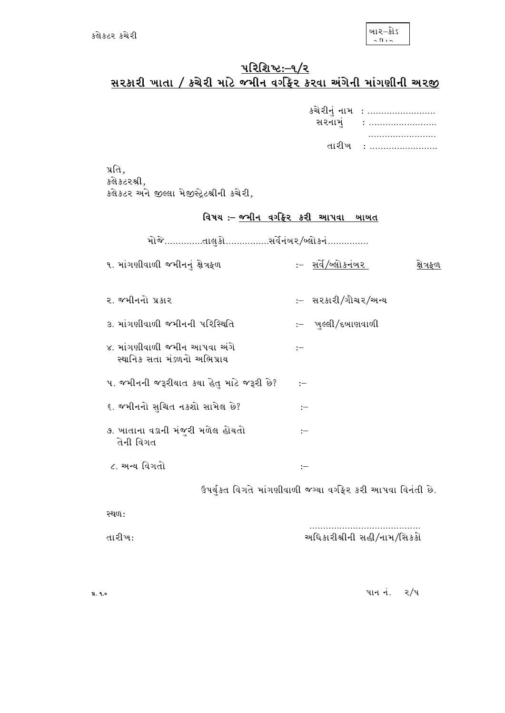# <u>પરિશિષ્ટ:-૧/૨<br>સરકારી ખાતા / કચેરી માટે જમીન વર્ગફ્રેર કરવા અંગેની માંગણીની અરજી</u>

| કચેરીનું નામ : |
|----------------|
| સરનામં :       |
| .              |
| તારીખ :        |

પ્રતિ, કલે કટરશ્રી, કલેકટર અને જીલ્લા મેજીસ્ટ્રેટશ્રીની કચેરી,

# વિષય :- <u>જમીન વર્ગફેર કરી આપવા ખાખત</u>

| ૧. માંગણીવાળી જમીનનું ક્ષેત્રફળ                             | :– <u>સર્વે/બ</u> ્લોકનંબર | ક્ષેત્રફળ |
|-------------------------------------------------------------|----------------------------|-----------|
| ૨. જમીનનો પ્રકાર                                            | :– સરકારી/ગૌચર/અન્ય        |           |
| ૩. માંગણીવાળી જમીનની પરિસ્થિતિ                              | :– ખુલ્લી ∕ દુખાણવાળી      |           |
| ૪. માંગણીવાળી જમીન આપવા અંગે<br>સ્થાનિક સતા મંડળનો અભિપ્રાય | :                          |           |
| ૫. જમીનની જરૂરીયાત કયા હેતુ માટે જરૂરી છે?                  | :                          |           |
| ૬. જમીનનો સુચિત નકશો સામેલ છે?                              | $:=$                       |           |
| ૭. ખાતાના વડાની મંજૂરી મળેલ હોયતો<br>તેની વિગત              | :                          |           |
| ૮. અન્ય વિગતો                                               | $\mathrel{\mathop:}=$      |           |

ઉપર્યુકત વિગતે માંગણીવાળી જગ્યા વર્ગફેર કરી આપવા વિનંતી છે.

સ્થળ:

તારીખ:

 $414 \dot{4}$ . 2/4

અધિકારીશ્રીની સહી/નામ/સિકકો

પ્ર. ૧.૦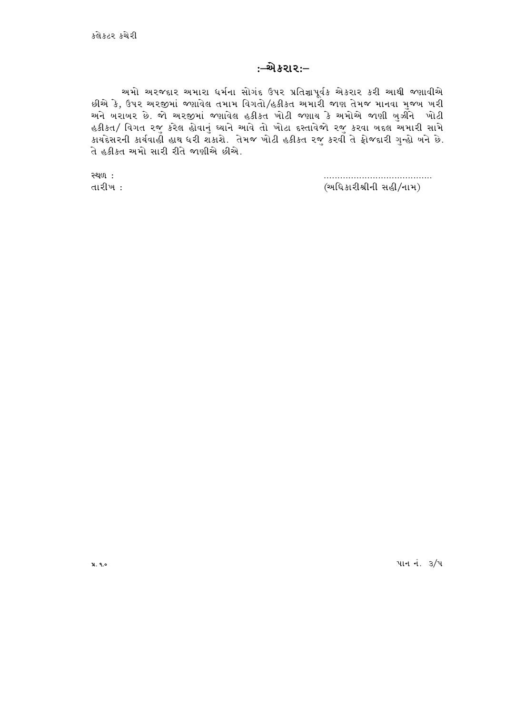#### :–એકરા૨:–

અમો અરજદાર અમારા ધર્મના સોગંદ ઉપર પ્રતિજ્ઞાપૂર્વક એકરાર કરી આથી જણાવીએ છીએ કે, ઉપર અરજીમાં જણાવેલ તમામ વિગતો/હકીકત અમારી જાણ તેમજ માનવા મુજબ ખરી અને બરાબર છે. જો અરજીમાં જણાવેલ હકીકત ખોટી જણાય કે અમોએ જાણી ખુઝીને ખોટી હકીકત/ વિગત રજુ કરેલ હોવાનું ઘ્યાને આવે તો ખોટા દસ્તાવેજો રજુ કરવા બદલ અમારી સામે કાયદેસરની કાર્યવાહી હાથ ધરી શકાશે. તેમજ ખોટી હકીકત રજુ કરવાઁ તે ફોજદારી ગુન્હો ખને છે. તે હકીકત અમો સારી રીતે જાણીએ છીએ.

> (અધિકારીશ્રીની સહી/નામ)

**સ્થળ:** તારીખ:

પાન નં. 3/૫

**x**. ૧.૦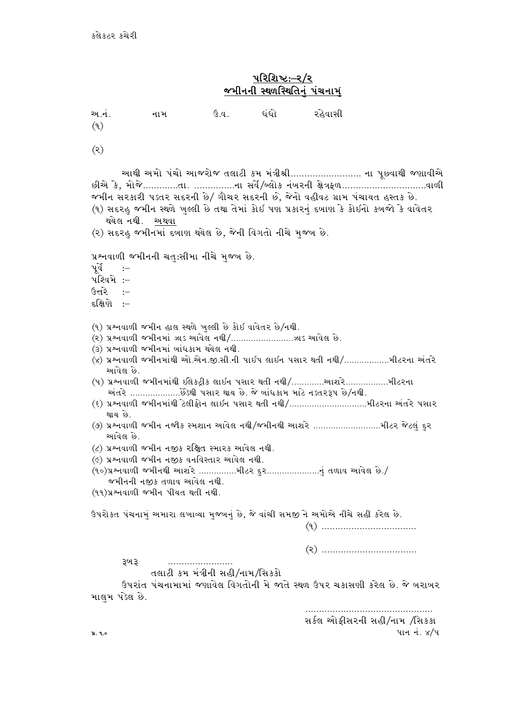# <u>પરિશિષ્ટ:–૨/૨</u> <u>જમીનની સ્થળસ્થિતિનું પંચનામું</u>

| અ.નં.<br>(9)                                                                                                                                                                                                                                                                                                                                                                                                                                                                                                                                                                                                                                                                                                                                                                                                          | નામ                                      | ઉ.વ. ધંધો |  | રહેવાસી                                                                    |
|-----------------------------------------------------------------------------------------------------------------------------------------------------------------------------------------------------------------------------------------------------------------------------------------------------------------------------------------------------------------------------------------------------------------------------------------------------------------------------------------------------------------------------------------------------------------------------------------------------------------------------------------------------------------------------------------------------------------------------------------------------------------------------------------------------------------------|------------------------------------------|-----------|--|----------------------------------------------------------------------------|
| (5)                                                                                                                                                                                                                                                                                                                                                                                                                                                                                                                                                                                                                                                                                                                                                                                                                   |                                          |           |  |                                                                            |
| આથી અમો પંચો આજરોજ તલાટી કમ મંત્રીશ્રી ના પૂછવાથી જણાવીએ<br>જમીન સરકારી પડ્તર સદરની છે/ ગૌચર સદરની છે, જેનો વહીવટ ગ્રામ પંચાયત હસ્તક છે.<br>(૧) સદરહુ જમીન સ્થળે ખુલ્લી છે તથા તેમાં કોઈ પણ પ્રકારનું દબાણ કે કોઈનો કબજો કે વાવેતર<br>થયેલ નથી. અથવા<br>(૨) સદરહુ જમીનમાં દબાણ થયેલ છે, જેની વિગતો નીચે મુજબ છે.                                                                                                                                                                                                                                                                                                                                                                                                                                                                                                      |                                          |           |  |                                                                            |
| પૂર્વે :–<br>પશ્વિમે :–<br>ઉત્તર <del>ે</del> :–<br>દક્ષિણે :–                                                                                                                                                                                                                                                                                                                                                                                                                                                                                                                                                                                                                                                                                                                                                        | પ્રશ્નવાળી જમીનની ચતુ:સીમા નીચે મુજબ છે. |           |  |                                                                            |
| (૧) પ્રશ્નવાળી જમીન હાલ સ્થળે ખુલ્લી છે કોઈ વાવેતર છે/નથી.<br>(૨) પ્રશ્નવાળી જમીનમાં ઝાડ આવેલ નથી/ઝાડ આવેલ છે.<br>(3) પ્રશ્નવાળી જમીનમાં ખાંધકામ થયેલ નથી.<br>(૪) પ્રશ્નવાળી જમીનમાંથી ઓ.એન.જી.સી.ની પાઈપ લાઈન પસાર થતી નથી/મીટરના અંતરે<br>આવેલ છે.<br>(૫) પ્રશ્નવાળી જમીનમાંથી ઇલેકડ્રીક લાઇન પસાર થતી નથી/થાશરેમીટરના<br>અંતરે છેૅડેથી પસાર થાય છે. જે ખાંધકામ માટે નડતરરૂપ છે/નથી.<br>(૬) પ્રશ્નવાળી જમીનમાંથી ટેલીફોન લાઇન પસાર થતી નથી/મીટરના અંતરે પસાર<br>થાય છે.<br>(૭) પ્રશ્નવાળી જમીન નજીક સ્મશાન આવેલ નથી/જમીનથી આશરે મીટર જેટલું દુર<br>આવેલ છે.<br>$\mathcal{L}(\mathcal{L})$ પ્રશ્નવાળી જમીન નજીક રક્ષિત સ્મારક આવેલ નથી.<br>(૯) પ્રશ્નવાળી જમીન નજીક વનવિસ્તાર આવેલ નથી.<br>(૧૦)પ્રશ્નવાળી જમીનથી આશરે મીટર દુરનું તળાવ આવેલ છે./<br>જમીનની નજીક તળાવ આવેલ નથી.<br>(११) प्रश्नवाणी कभीन पीयत थती नथी. |                                          |           |  |                                                                            |
| ઉપરોકત પંચનામું અમારા લખાવ્યા મુજબનું છે, જે વાંચી સમજી ને અમોએ નીચે સહી કરેલ છે.                                                                                                                                                                                                                                                                                                                                                                                                                                                                                                                                                                                                                                                                                                                                     |                                          |           |  |                                                                            |
| રૂખ રૂ<br>માલુમ પડેલ છે.                                                                                                                                                                                                                                                                                                                                                                                                                                                                                                                                                                                                                                                                                                                                                                                              | તલાટી કમ મંત્રીની સહી/નામ/સિકકો          |           |  | ઉપરાંત પંચનામામાં જણાવેલ વિગતોની મે જાતે સ્થળ ઉપર ચકાસણી કરેલ છે. જે ખરાબર |
| પ્ર. ૧.૦                                                                                                                                                                                                                                                                                                                                                                                                                                                                                                                                                                                                                                                                                                                                                                                                              |                                          |           |  | સર્કલ ઓફીસરની સહી/નામ /સિક્કા<br>પાન નં. ૪/૫                               |